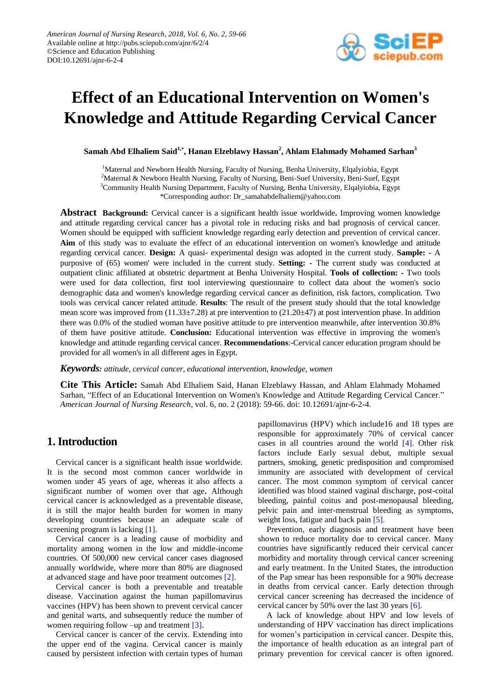

# **Effect of an Educational Intervention on Women's Knowledge and Attitude Regarding Cervical Cancer**

**Samah Abd Elhaliem Said1,\* , Hanan Elzeblawy Hassan<sup>2</sup> , Ahlam Elahmady Mohamed Sarhan<sup>3</sup>**

<sup>1</sup>Maternal and Newborn Health Nursing, Faculty of Nursing, Benha University, Elqalyiobia, Egypt <sup>2</sup>Maternal & Newborn Health Nursing, Faculty of Nursing, Beni-Suef University, Beni-Suef, Egypt <sup>3</sup>Community Health Nursing Department, Faculty of Nursing, Benha University, Elqalyiobia, Egypt \*Corresponding author: Dr\_samahabdelhaliem@yahoo.com

**Abstract Background:** Cervical cancer is a significant health issue worldwide**.** Improving women knowledge and attitude regarding cervical cancer has a pivotal role in reducing risks and bad prognosis of cervical cancer. Women should be equipped with sufficient knowledge regarding early detection and prevention of cervical cancer. **Aim** of this study was to evaluate the effect of an educational intervention on women's knowledge and attitude regarding cervical cancer*.* **Design:** A quasi- experimental design was adopted in the current study. **Sample: -** A purposive of (65) women' were included in the current study. **Setting: -** The current study was conducted at outpatient clinic affiliated at obstetric department at Benha University Hospital. **Tools of collection: -** Two tools were used for data collection, first tool interviewing questionnaire to collect data about the women's socio demographic data and women's knowledge regarding cervical cancer as definition, risk factors, complication. Two tools was cervical cancer related attitude. **Results**: The result of the present study should that the total knowledge mean score was improved from (11.33±7.28) at pre intervention to (21.20±47) at post intervention phase. In addition there was 0.0% of the studied woman have positive attitude to pre intervention meanwhile, after intervention 30.8% of them have positive attitude. **Conclusion:** Educational intervention was effective in improving the women's knowledge and attitude regarding cervical cancer. **Recommendations**:-Cervical cancer education program should be provided for all women's in all different ages in Egypt.

*Keywords: attitude, cervical cancer, educational intervention, knowledge, women*

**Cite This Article:** Samah Abd Elhaliem Said, Hanan Elzeblawy Hassan, and Ahlam Elahmady Mohamed Sarhan, "Effect of an Educational Intervention on Women's Knowledge and Attitude Regarding Cervical Cancer." *American Journal of Nursing Research*, vol. 6, no. 2 (2018): 59-66. doi: 10.12691/ajnr-6-2-4.

# **1. Introduction**

Cervical cancer is a significant health issue worldwide. It is the second most common cancer worldwide in women under 45 years of age, whereas it also affects a significant number of women over that age**.** Although cervical cancer is acknowledged as a preventable disease, it is still the major health burden for women in many developing countries because an adequate scale of screening program is lacking [\[1\].](#page-6-0)

Cervical cancer is a leading cause of morbidity and mortality among women in the low and middle-income countries. Of 500,000 new cervical cancer cases diagnosed annually worldwide, where more than 80% are diagnosed at advanced stage and have poor treatment outcomes [\[2\].](#page-6-1)

Cervical cancer is both a preventable and treatable disease. Vaccination against the human papillomavirus vaccines (HPV) has been shown to prevent cervical cancer and genital warts, and subsequently reduce the number of women requiring follow –up and treatment [\[3\].](#page-6-2)

Cervical cancer is cancer of the cervix. Extending into the upper end of the vagina. Cervical cancer is mainly caused by persistent infection with certain types of human papillomavirus (HPV) which include16 and 18 types are responsible for approximately 70% of cervical cancer cases in all countries around the world [\[4\].](#page-6-3) Other risk factors include Early sexual debut, multiple sexual partners, smoking, genetic predisposition and compromised immunity are associated with development of cervical cancer. The most common symptom of cervical cancer identified was blood stained vaginal discharge, post-coital bleeding, painful coitus and post-menopausal bleeding, pelvic pain and inter-menstrual bleeding as symptoms, weight loss, fatigue and back pain [\[5\].](#page-6-4)

Prevention, early diagnosis and treatment have been shown to reduce mortality due to cervical cancer. Many countries have significantly reduced their cervical cancer morbidity and mortality through cervical cancer screening and early treatment. In the United States, the introduction of the Pap smear has been responsible for a 90% decrease in deaths from cervical cancer. Early detection through cervical cancer screening has decreased the incidence of cervical cancer by 50% over the last 30 year[s \[6\].](#page-7-0)

A lack of knowledge about HPV and low levels of understanding of HPV vaccination has direct implications for women's participation in cervical cancer. Despite this, the importance of health education as an integral part of primary prevention for cervical cancer is often ignored.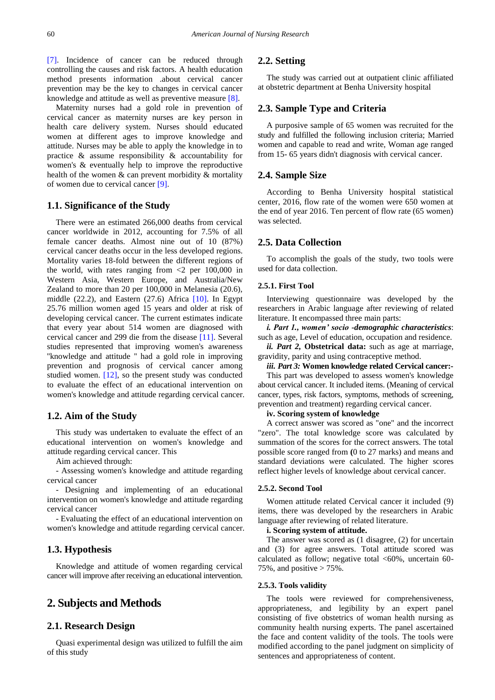[\[7\].](#page-7-1) Incidence of cancer can be reduced through controlling the causes and risk factors. A health education method presents information .about cervical cancer prevention may be the key to changes in cervical cancer knowledge and attitude as well as preventive measure [\[8\].](#page-7-2)

Maternity nurses had a gold role in prevention of cervical cancer as maternity nurses are key person in health care delivery system. Nurses should educated women at different ages to improve knowledge and attitude. Nurses may be able to apply the knowledge in to practice & assume responsibility & accountability for women's & eventually help to improve the reproductive health of the women & can prevent morbidity & mortality of women due to cervical cancer [\[9\].](#page-7-3)

## **1.1. Significance of the Study**

There were an estimated 266,000 deaths from cervical cancer worldwide in 2012, accounting for 7.5% of all female cancer deaths. Almost nine out of 10 (87%) cervical cancer deaths occur in the less developed regions. Mortality varies 18-fold between the different regions of the world, with rates ranging from  $\langle 2 \rangle$  per 100,000 in Western Asia, Western Europe, and Australia/New Zealand to more than 20 per 100,000 in Melanesia (20.6), middle  $(22.2)$ , and Eastern  $(27.6)$  Africa  $[10]$ . In Egypt 25.76 million women aged 15 years and older at risk of developing cervical cancer. The current estimates indicate that every year about 514 women are diagnosed with cervical cancer and 299 die from the disease [\[11\].](#page-7-5) Several studies represented that improving women's awareness ''knowledge and attitude '' had a gold role in improving prevention and prognosis of cervical cancer among studied women. [\[12\],](#page-7-6) so the present study was conducted to evaluate the effect of an educational intervention on women's knowledge and attitude regarding cervical cancer.

# **1.2. Aim of the Study**

This study was undertaken to evaluate the effect of an educational intervention on women's knowledge and attitude regarding cervical cancer. This

Aim achieved through:

- Assessing women's knowledge and attitude regarding cervical cancer

- Designing and implementing of an educational intervention on women's knowledge and attitude regarding cervical cancer

- Evaluating the effect of an educational intervention on women's knowledge and attitude regarding cervical cancer.

# **1.3. Hypothesis**

Knowledge and attitude of women regarding cervical cancer will improve after receiving an educational intervention.

# **2. Subjects and Methods**

## **2.1. Research Design**

Quasi experimental design was utilized to fulfill the aim of this study

# **2.2. Setting**

The study was carried out at outpatient clinic affiliated at obstetric department at Benha University hospital

# **2.3. Sample Type and Criteria**

A purposive sample of 65 women was recruited for the study and fulfilled the following inclusion criteria; Married women and capable to read and write, Woman age ranged from 15- 65 years didn't diagnosis with cervical cancer.

## **2.4. Sample Size**

According to Benha University hospital statistical center, 2016, flow rate of the women were 650 women at the end of year 2016. Ten percent of flow rate (65 women) was selected.

### **2.5. Data Collection**

To accomplish the goals of the study, two tools were used for data collection.

## **2.5.1. First Tool**

Interviewing questionnaire was developed by the researchers in Arabic language after reviewing of related literature. It encompassed three main parts:

*i. Part 1., women' socio -demographic characteristics*: such as age, Level of education, occupation and residence.

*ii. Part 2,* **Obstetrical data:** such as age at marriage, gravidity, parity and using contraceptive method.

*iii. Part 3:* **Women knowledge related Cervical cancer:-**

This part was developed to assess women's knowledge about cervical cancer. It included items. (Meaning of cervical cancer, types, risk factors, symptoms, methods of screening, prevention and treatment) regarding cervical cancer.

#### **iv. Scoring system of knowledge**

A correct answer was scored as "one" and the incorrect "zero". The total knowledge score was calculated by summation of the scores for the correct answers. The total possible score ranged from **(**0 to 27 marks) and means and standard deviations were calculated. The higher scores reflect higher levels of knowledge about cervical cancer.

#### **2.5.2. Second Tool**

Women attitude related Cervical cancer it included (9) items, there was developed by the researchers in Arabic language after reviewing of related literature.

#### **i. Scoring system of attitude.**

The answer was scored as (1 disagree, (2) for uncertain and (3) for agree answers. Total attitude scored was calculated as follow; negative total  $\langle 60\%$ , uncertain 60-75%, and positive  $> 75\%$ .

#### **2.5.3. Tools validity**

The tools were reviewed for comprehensiveness, appropriateness, and legibility by an expert panel consisting of five obstetrics of woman health nursing as community health nursing experts. The panel ascertained the face and content validity of the tools. The tools were modified according to the panel judgment on simplicity of sentences and appropriateness of content.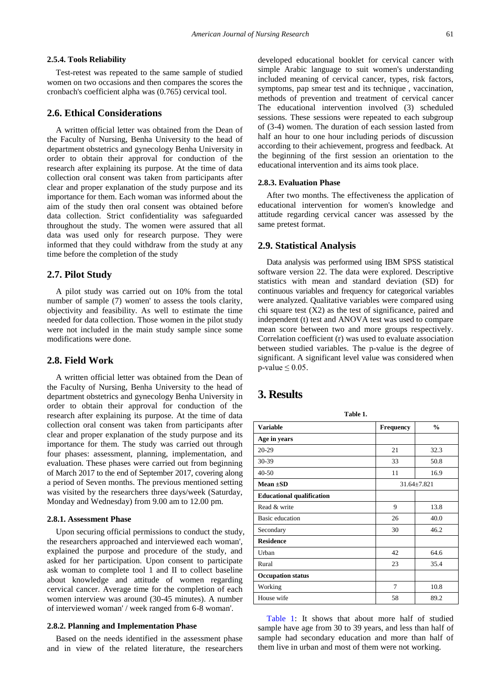#### **2.5.4. Tools Reliability**

Test-retest was repeated to the same sample of studied women on two occasions and then compares the scores the cronbach's coefficient alpha was (0.765) cervical tool.

# **2.6. Ethical Considerations**

A written official letter was obtained from the Dean of the Faculty of Nursing, Benha University to the head of department obstetrics and gynecology Benha University in order to obtain their approval for conduction of the research after explaining its purpose. At the time of data collection oral consent was taken from participants after clear and proper explanation of the study purpose and its importance for them. Each woman was informed about the aim of the study then oral consent was obtained before data collection. Strict confidentiality was safeguarded throughout the study. The women were assured that all data was used only for research purpose. They were informed that they could withdraw from the study at any time before the completion of the study

#### **2.7. Pilot Study**

A pilot study was carried out on 10% from the total number of sample (7) women' to assess the tools clarity, objectivity and feasibility. As well to estimate the time needed for data collection. Those women in the pilot study were not included in the main study sample since some modifications were done.

# **2.8. Field Work**

A written official letter was obtained from the Dean of the Faculty of Nursing, Benha University to the head of department obstetrics and gynecology Benha University in order to obtain their approval for conduction of the research after explaining its purpose. At the time of data collection oral consent was taken from participants after clear and proper explanation of the study purpose and its importance for them. The study was carried out through four phases: assessment, planning, implementation, and evaluation. These phases were carried out from beginning of March 2017 to the end of September 2017, covering along a period of Seven months. The previous mentioned setting was visited by the researchers three days/week (Saturday, Monday and Wednesday) from 9.00 am to 12.00 pm.

#### **2.8.1. Assessment Phase**

Upon securing official permissions to conduct the study, the researchers approached and interviewed each woman', explained the purpose and procedure of the study, and asked for her participation. Upon consent to participate ask woman to complete tool 1 and II to collect baseline about knowledge and attitude of women regarding cervical cancer. Average time for the completion of each women interview was around (30-45 minutes). A number of interviewed woman' / week ranged from 6-8 woman'.

#### **2.8.2. Planning and Implementation Phase**

Based on the needs identified in the assessment phase and in view of the related literature, the researchers developed educational booklet for cervical cancer with simple Arabic language to suit women's understanding included meaning of cervical cancer, types, risk factors, symptoms, pap smear test and its technique, vaccination, methods of prevention and treatment of cervical cancer The educational intervention involved (3) scheduled sessions. These sessions were repeated to each subgroup of (3-4) women. The duration of each session lasted from half an hour to one hour including periods of discussion according to their achievement, progress and feedback. At the beginning of the first session an orientation to the educational intervention and its aims took place.

#### **2.8.3. Evaluation Phase**

After two months. The effectiveness the application of educational intervention for women's knowledge and attitude regarding cervical cancer was assessed by the same pretest format.

#### **2.9. Statistical Analysis**

Data analysis was performed using IBM SPSS statistical software version 22. The data were explored. Descriptive statistics with mean and standard deviation (SD) for continuous variables and frequency for categorical variables were analyzed. Qualitative variables were compared using chi square test (X2) as the test of significance, paired and independent (t) test and ANOVA test was used to compare mean score between two and more groups respectively. Correlation coefficient (r) was used to evaluate association between studied variables. The p-value is the degree of significant. A significant level value was considered when  $p$ -value  $\leq 0.05$ .

# **3. Results**

<span id="page-2-0"></span>

| Table 1.                         |                  |                   |  |  |  |  |  |  |  |
|----------------------------------|------------------|-------------------|--|--|--|--|--|--|--|
| <b>Variable</b>                  | <b>Frequency</b> | $\frac{0}{0}$     |  |  |  |  |  |  |  |
| Age in years                     |                  |                   |  |  |  |  |  |  |  |
| $20-29$                          | 21               | 32.3              |  |  |  |  |  |  |  |
| 30-39                            | 33               | 50.8              |  |  |  |  |  |  |  |
| $40 - 50$                        | 11               | 16.9              |  |  |  |  |  |  |  |
| Mean $\pm$ SD                    |                  | $31.64 \pm 7.821$ |  |  |  |  |  |  |  |
| <b>Educational qualification</b> |                  |                   |  |  |  |  |  |  |  |
| Read & write                     | 9                | 13.8              |  |  |  |  |  |  |  |
| Basic education                  | 26               | 40.0              |  |  |  |  |  |  |  |
| Secondary                        | 30               | 46.2              |  |  |  |  |  |  |  |
| <b>Residence</b>                 |                  |                   |  |  |  |  |  |  |  |
| Urban                            | 42               | 64.6              |  |  |  |  |  |  |  |
| Rural                            | 23               | 35.4              |  |  |  |  |  |  |  |
| <b>Occupation status</b>         |                  |                   |  |  |  |  |  |  |  |
| Working                          | 7                | 10.8              |  |  |  |  |  |  |  |
| House wife                       | 58               | 89.2              |  |  |  |  |  |  |  |

[Table 1:](#page-2-0) It shows that about more half of studied sample have age from 30 to 39 years, and less than half of sample had secondary education and more than half of them live in urban and most of them were not working.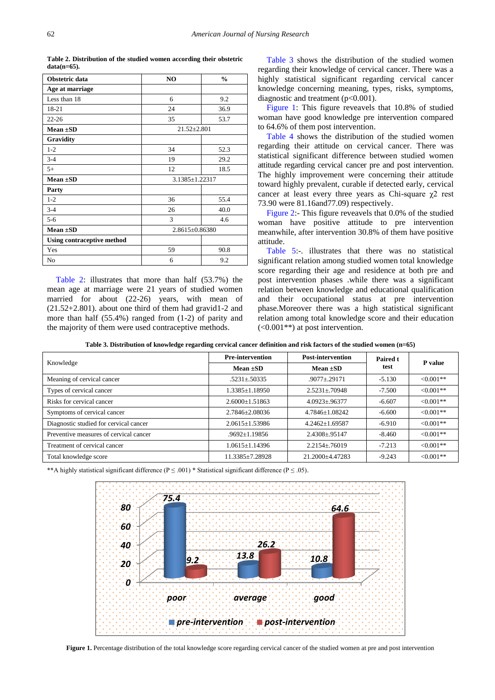**Table 2. Distribution of the studied women according their obstetric data(n=65).**

<span id="page-3-0"></span>

| Obstetric data                    | N <sub>O</sub>    | $\frac{0}{0}$ |  |  |  |
|-----------------------------------|-------------------|---------------|--|--|--|
| Age at marriage                   |                   |               |  |  |  |
| Less than 18                      | 6                 | 9.2           |  |  |  |
| 18-21                             | 24                | 36.9          |  |  |  |
| $22 - 26$                         | 35                | 53.7          |  |  |  |
| $Mean \pm SD$                     | $21.52 \pm 2.801$ |               |  |  |  |
| Gravidity                         |                   |               |  |  |  |
| $1 - 2$                           | 34                | 52.3          |  |  |  |
| $3 - 4$                           | 19                | 29.2          |  |  |  |
| $5+$                              | 12                | 18.5          |  |  |  |
| Mean $\pm SD$                     | 3.1385±1.22317    |               |  |  |  |
| Party                             |                   |               |  |  |  |
| $1 - 2$                           | 36                | 55.4          |  |  |  |
| $3 - 4$                           | 26                | 40.0          |  |  |  |
| $5 - 6$                           | 3                 | 4.6           |  |  |  |
| $Mean \pm SD$                     | 2.8615±0.86380    |               |  |  |  |
| <b>Using contraceptive method</b> |                   |               |  |  |  |
| Yes                               | 59                | 90.8          |  |  |  |
| No                                | 6                 | 9.2           |  |  |  |

[Table 2:](#page-3-0) illustrates that more than half (53.7%) the mean age at marriage were 21 years of studied women married for about (22-26) years, with mean of (21.52+2.801). about one third of them had gravid1-2 and more than half (55.4%) ranged from (1-2) of parity and the majority of them were used contraceptive methods.

[Table 3](#page-3-1) shows the distribution of the studied women regarding their knowledge of cervical cancer. There was a highly statistical significant regarding cervical cancer knowledge concerning meaning, types, risks, symptoms, diagnostic and treatment (p<0.001).

[Figure 1:](#page-3-2) This figure reveavels that 10.8% of studied woman have good knowledge pre intervention compared to 64.6% of them post intervention.

[Table 4](#page-4-0) shows the distribution of the studied women regarding their attitude on cervical cancer. There was statistical significant difference between studied women attitude regarding cervical cancer pre and post intervention. The highly improvement were concerning their attitude toward highly prevalent, curable if detected early, cervical cancer at least every three years as Chi-square  $\chi$ 2 rest 73.90 were 81.16and77.09) respectively.

[Figure 2:](#page-4-1)- This figure reveavels that 0.0% of the studied woman have positive attitude to pre intervention meanwhile, after intervention 30.8% of them have positive attitude.

[Table 5:](#page-4-2)-. illustrates that there was no statistical significant relation among studied women total knowledge score regarding their age and residence at both pre and post intervention phases .while there was a significant relation between knowledge and educational qualification and their occupational status at pre intervention phase.Moreover there was a high statistical significant relation among total knowledge score and their education (<0.001\*\*) at post intervention.

**Table 3. Distribution of knowledge regarding cervical cancer definition and risk factors of the studied women (n=65)**

<span id="page-3-1"></span>

| Knowledge                              | <b>Pre-intervention</b> | <b>Post-intervention</b> | Paired t | P value    |  |
|----------------------------------------|-------------------------|--------------------------|----------|------------|--|
|                                        | Mean $\pm$ SD           | Mean $\pm$ SD            | test     |            |  |
| Meaning of cervical cancer             | $.5231 \pm .50335$      | $.9077 + .29171$         | $-5.130$ | $<0.001**$ |  |
| Types of cervical cancer               | $1.3385 \pm 1.18950$    | $2.5231 + 70948$         | $-7.500$ | $<0.001**$ |  |
| Risks for cervical cancer              | $2.6000+1.51863$        | $4.0923 \pm .96377$      | $-6.607$ | $<0.001**$ |  |
| Symptoms of cervical cancer            | 2.7846+2.08036          | 4.7846+1.08242           | $-6.600$ | $<0.001**$ |  |
| Diagnostic studied for cervical cancer | $2.0615 \pm 1.53986$    | $4.2462+1.69587$         | $-6.910$ | $<0.001**$ |  |
| Preventive measures of cervical cancer | $.9692 \pm 1.19856$     | $2.4308 \pm .95147$      | $-8.460$ | $<0.001**$ |  |
| Treatment of cervical cancer           | $1.0615 \pm 1.14396$    | $2.2154 \pm .76019$      | $-7.213$ | $<0.001**$ |  |
| Total knowledge score                  | 11.3385±7.28928         | 21.2000±4.47283          | $-9.243$ | $<0.001**$ |  |

<span id="page-3-2"></span>\*\*A highly statistical significant difference ( $P \le 0.001$ ) \* Statistical significant difference ( $P \le 0.05$ ).



Figure 1. Percentage distribution of the total knowledge score regarding cervical cancer of the studied women at pre and post intervention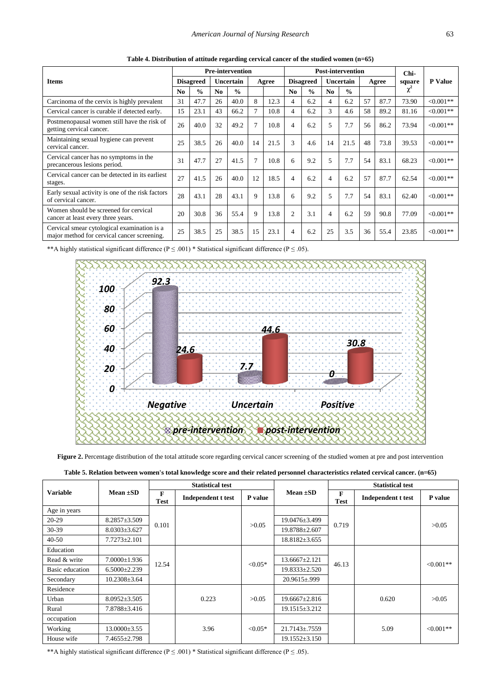<span id="page-4-0"></span>

|                                                                                            | <b>Pre-intervention</b> |                  |                |               | <b>Post-intervention</b> |       |                |                  | Chi-             |               |       |      |        |             |
|--------------------------------------------------------------------------------------------|-------------------------|------------------|----------------|---------------|--------------------------|-------|----------------|------------------|------------------|---------------|-------|------|--------|-------------|
| <b>Items</b>                                                                               |                         | <b>Disagreed</b> |                | Uncertain     |                          | Agree |                | <b>Disagreed</b> | <b>Uncertain</b> |               | Agree |      | square | P Value     |
|                                                                                            | N <sub>0</sub>          | $\frac{0}{0}$    | N <sub>0</sub> | $\frac{0}{0}$ |                          |       | N <sub>0</sub> | $\frac{0}{0}$    | N <sub>0</sub>   | $\frac{0}{0}$ |       |      | χ      |             |
| Carcinoma of the cervix is highly prevalent                                                | 31                      | 47.7             | 26             | 40.0          | 8                        | 12.3  | 4              | 6.2              | 4                | 6.2           | 57    | 87.7 | 73.90  | $<0.001**$  |
| Cervical cancer is curable if detected early.                                              | 15                      | 23.1             | 43             | 66.2          | 7                        | 10.8  | 4              | 6.2              | 3                | 4.6           | 58    | 89.2 | 81.16  | $<0.001**$  |
| Postmenopausal women still have the risk of<br>getting cervical cancer.                    | 26                      | 40.0             | 32             | 49.2          | $\overline{7}$           | 10.8  | 4              | 6.2              | 5                | 7.7           | 56    | 86.2 | 73.94  | $<0.001**$  |
| Maintaining sexual hygiene can prevent<br>cervical cancer.                                 | 25                      | 38.5             | 26             | 40.0          | 14                       | 21.5  | 3              | 4.6              | 14               | 21.5          | 48    | 73.8 | 39.53  | $<0.001**$  |
| Cervical cancer has no symptoms in the<br>precancerous lesions period.                     | 31                      | 47.7             | 27             | 41.5          | $\overline{7}$           | 10.8  | 6              | 9.2              | 5                | 7.7           | 54    | 83.1 | 68.23  | $<0.001**$  |
| Cervical cancer can be detected in its earliest<br>stages.                                 | 27                      | 41.5             | 26             | 40.0          | 12                       | 18.5  | 4              | 6.2              | 4                | 6.2           | 57    | 87.7 | 62.54  | $<0.001**$  |
| Early sexual activity is one of the risk factors<br>of cervical cancer.                    | 28                      | 43.1             | 28             | 43.1          | 9                        | 13.8  | 6              | 9.2              | 5                | 7.7           | 54    | 83.1 | 62.40  | $<0.001**$  |
| Women should be screened for cervical<br>cancer at least every three years.                | 20                      | 30.8             | 36             | 55.4          | 9                        | 13.8  | $\overline{c}$ | 3.1              | 4                | 6.2           | 59    | 90.8 | 77.09  | $<0.001**$  |
| Cervical smear cytological examination is a<br>major method for cervical cancer screening. | 25                      | 38.5             | 25             | 38.5          | 15                       | 23.1  | 4              | 6.2              | 25               | 3.5           | 36    | 55.4 | 23.85  | $< 0.001**$ |

**Table 4. Distribution of attitude regarding cervical cancer of the studied women (n=65)**

<span id="page-4-1"></span>\*\*A highly statistical significant difference ( $P \le 0.001$ ) \* Statistical significant difference ( $P \le 0.05$ ).



Figure 2. Percentage distribution of the total attitude score regarding cervical cancer screening of the studied women at pre and post intervention

<span id="page-4-2"></span>

|                 |                    |                  | <b>Statistical test</b>   |           |                      |                             | <b>Statistical test</b>   |              |  |  |  |  |  |  |  |  |  |  |  |               |  |  |
|-----------------|--------------------|------------------|---------------------------|-----------|----------------------|-----------------------------|---------------------------|--------------|--|--|--|--|--|--|--|--|--|--|--|---------------|--|--|
| <b>Variable</b> | Mean $\pm SD$      | F<br><b>Test</b> | <b>Independent t test</b> | P value   | Mean $\pm SD$        | $\mathbf{F}$<br><b>Test</b> | <b>Independent t test</b> | P value      |  |  |  |  |  |  |  |  |  |  |  |               |  |  |
| Age in years    |                    |                  |                           |           |                      |                             |                           |              |  |  |  |  |  |  |  |  |  |  |  |               |  |  |
| $20-29$         | $8.2857 \pm 3.509$ | 0.101            |                           | >0.05     | 19.0476±3.499        | 0.719                       |                           | >0.05        |  |  |  |  |  |  |  |  |  |  |  |               |  |  |
| 30-39           | $8.0303 \pm 3.627$ |                  |                           |           | 19.8788±2.607        |                             |                           |              |  |  |  |  |  |  |  |  |  |  |  |               |  |  |
| $40 - 50$       | $7.7273 \pm 2.101$ |                  |                           |           | $18.8182 \pm 3.655$  |                             |                           |              |  |  |  |  |  |  |  |  |  |  |  |               |  |  |
| Education       |                    |                  |                           |           |                      |                             |                           |              |  |  |  |  |  |  |  |  |  |  |  |               |  |  |
| Read & write    | $7.0000 \pm 1.936$ | 12.54            |                           | $< 0.05*$ | $13.6667 \pm 2.121$  | 46.13                       |                           | $< 0.001**$  |  |  |  |  |  |  |  |  |  |  |  |               |  |  |
| Basic education | $6.5000 \pm 2.239$ |                  |                           |           |                      |                             |                           |              |  |  |  |  |  |  |  |  |  |  |  | 19.8333±2.520 |  |  |
| Secondary       | $10.2308 \pm 3.64$ |                  |                           |           | $20.9615 \pm 0.999$  |                             |                           |              |  |  |  |  |  |  |  |  |  |  |  |               |  |  |
| Residence       |                    |                  |                           |           |                      |                             |                           |              |  |  |  |  |  |  |  |  |  |  |  |               |  |  |
| Urban           | $8.0952 \pm 3.505$ |                  | 0.223                     | >0.05     | 19.6667±2.816        |                             | 0.620                     | >0.05        |  |  |  |  |  |  |  |  |  |  |  |               |  |  |
| Rural           | 7.8788±3.416       |                  |                           |           | 19.1515±3.212        |                             |                           |              |  |  |  |  |  |  |  |  |  |  |  |               |  |  |
| occupation      |                    |                  |                           |           |                      |                             |                           |              |  |  |  |  |  |  |  |  |  |  |  |               |  |  |
| Working         | $13.0000 \pm 3.55$ |                  | 3.96                      | $< 0.05*$ | $21.7143 \pm 0.7559$ |                             | 5.09                      | $< 0.001$ ** |  |  |  |  |  |  |  |  |  |  |  |               |  |  |
| House wife      | $7.4655 \pm 2.798$ |                  |                           |           | $19.1552 \pm 3.150$  |                             |                           |              |  |  |  |  |  |  |  |  |  |  |  |               |  |  |

\*\*A highly statistical significant difference ( $P \le 0.001$ ) \* Statistical significant difference ( $P \le 0.05$ ).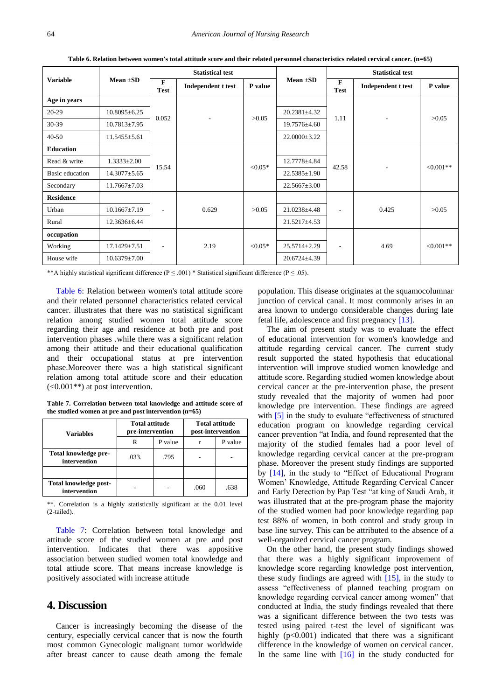<span id="page-5-0"></span>

|                  |                    | <b>Statistical test</b>     |                    |            |                    | <b>Statistical test</b>  |                    |             |             |  |
|------------------|--------------------|-----------------------------|--------------------|------------|--------------------|--------------------------|--------------------|-------------|-------------|--|
| <b>Variable</b>  | Mean $\pm SD$      | $\mathbf{F}$<br><b>Test</b> | Independent t test | P value    | Mean $\pm SD$      | F<br><b>Test</b>         | Independent t test | P value     |             |  |
| Age in years     |                    |                             |                    |            |                    |                          |                    |             |             |  |
| 20-29            | $10.8095 \pm 6.25$ | 0.052                       |                    | >0.05      | $20.2381 \pm 4.32$ | 1.11                     |                    | >0.05       |             |  |
| 30-39            | $10.7813 \pm 7.95$ |                             | ٠                  |            | 19.7576±4.60       |                          | ٠                  |             |             |  |
| $40 - 50$        | $11.5455 \pm 5.61$ |                             |                    |            | $22.0000 \pm 3.22$ |                          |                    |             |             |  |
| <b>Education</b> |                    |                             |                    |            |                    |                          |                    |             |             |  |
| Read & write     | $1.3333 \pm 2.00$  | 15.54                       |                    |            | $< 0.05*$          | 12.7778±4.84             | 42.58              | ۰.          | $< 0.001**$ |  |
| Basic education  | $14.3077 \pm 5.65$ |                             |                    |            |                    | $22.5385 \pm 1.90$       |                    |             |             |  |
| Secondary        | $11.7667 \pm 7.03$ |                             |                    |            | $22.5667 \pm 3.00$ |                          |                    |             |             |  |
| <b>Residence</b> |                    |                             |                    |            |                    |                          |                    |             |             |  |
| Urban            | $10.1667 \pm 7.19$ | ٠                           | 0.629              | >0.05      | 21.0238±4.48       | $\overline{\phantom{a}}$ | 0.425              | >0.05       |             |  |
| Rural            | 12.3636±6.44       |                             |                    |            | 21.5217±4.53       |                          |                    |             |             |  |
| occupation       |                    |                             |                    |            |                    |                          |                    |             |             |  |
| Working          | 17.1429±7.51       | $\qquad \qquad -$           | 2.19               | ${<}0.05*$ | 25.5714±2.29       | $\overline{\phantom{a}}$ | 4.69               | $< 0.001**$ |             |  |
| House wife       | $10.6379 \pm 7.00$ |                             |                    |            | $20.6724 \pm 4.39$ |                          |                    |             |             |  |

**Table 6. Relation between women's total attitude score and their related personnel characteristics related cervical cancer. (n=65)**

\*\*A highly statistical significant difference ( $P \le 0.001$ ) \* Statistical significant difference ( $P \le 0.05$ ).

[Table 6:](#page-5-0) Relation between women's total attitude score and their related personnel characteristics related cervical cancer. illustrates that there was no statistical significant relation among studied women total attitude score regarding their age and residence at both pre and post intervention phases .while there was a significant relation among their attitude and their educational qualification and their occupational status at pre intervention phase.Moreover there was a high statistical significant relation among total attitude score and their education  $(<0.001**$ ) at post intervention.

**Table 7. Correlation between total knowledge and attitude score of the studied women at pre and post intervention (n=65)**

<span id="page-5-1"></span>

| Variables                             | <b>Total attitude</b><br>pre-intervention |         | <b>Total attitude</b><br>post-intervention |         |  |
|---------------------------------------|-------------------------------------------|---------|--------------------------------------------|---------|--|
|                                       | R                                         | P value |                                            | P value |  |
| Total knowledge pre-<br>intervention  | .033.<br>.795                             |         |                                            |         |  |
|                                       |                                           |         |                                            |         |  |
| Total knowledge post-<br>intervention |                                           |         | .060                                       | .638    |  |

\*\*. Correlation is a highly statistically significant at the 0.01 level (2-tailed).

[Table 7:](#page-5-1) Correlation between total knowledge and attitude score of the studied women at pre and post intervention. Indicates that there was appositive association between studied women total knowledge and total attiude score. That means increase knowledge is positively associated with increase attitude

# **4. Discussion**

Cancer is increasingly becoming the disease of the century, especially cervical cancer that is now the fourth most common Gynecologic malignant tumor worldwide after breast cancer to cause death among the female

population. This disease originates at the squamocolumnar junction of cervical canal. It most commonly arises in an area known to undergo considerable changes during late fetal life, adolescence and first pregnancy [\[13\].](#page-7-7)

The aim of present study was to evaluate the effect of educational intervention for women's knowledge and attitude regarding cervical cancer. The current study result supported the stated hypothesis that educational intervention will improve studied women knowledge and attitude score. Regarding studied women knowledge about cervical cancer at the pre-intervention phase, the present study revealed that the majority of women had poor knowledge pre intervention. These findings are agreed with [\[5\]](#page-6-4) in the study to evaluate "effectiveness of structured education program on knowledge regarding cervical cancer prevention "at India, and found represented that the majority of the studied females had a poor level of knowledge regarding cervical cancer at the pre-program phase. Moreover the present study findings are supported by [\[14\],](#page-7-8) in the study to "Effect of Educational Program Women' Knowledge, Attitude Regarding Cervical Cancer and Early Detection by Pap Test "at king of Saudi Arab, it was illustrated that at the pre-program phase the majority of the studied women had poor knowledge regarding pap test 88% of women, in both control and study group in base line survey. This can be attributed to the absence of a well-organized cervical cancer program.

On the other hand, the present study findings showed that there was a highly significant improvement of knowledge score regarding knowledge post intervention, these study findings are agreed with [\[15\],](#page-7-9) in the study to assess "effectiveness of planned teaching program on knowledge regarding cervical cancer among women" that conducted at India, the study findings revealed that there was a significant difference between the two tests was tested using paired t-test the level of significant was highly (p<0.001) indicated that there was a significant difference in the knowledge of women on cervical cancer. In the same line with  $[16]$  in the study conducted for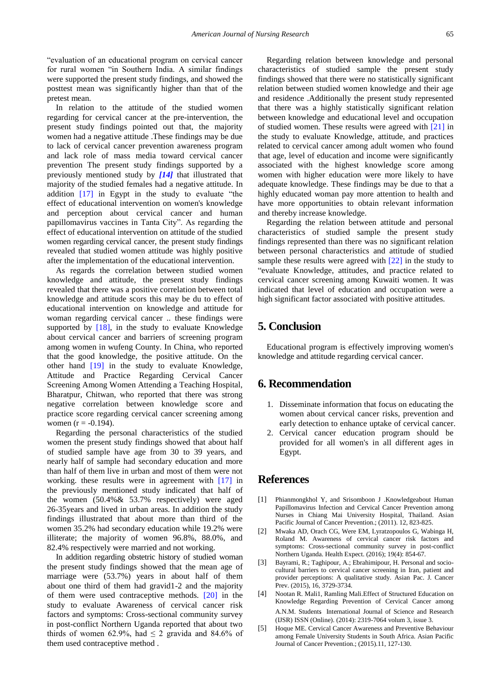"evaluation of an educational program on cervical cancer for rural women "in Southern India. A similar findings were supported the present study findings, and showed the posttest mean was significantly higher than that of the pretest mean.

In relation to the attitude of the studied women regarding for cervical cancer at the pre-intervention, the present study findings pointed out that, the majority women had a negative attitude .These findings may be due to lack of cervical cancer prevention awareness program and lack role of mass media toward cervical cancer prevention The present study findings supported by a previously mentioned study by *[\[14\]](#page-7-8)* that illustrated that majority of the studied females had a negative attitude. In addition [\[17\]](#page-7-11) in Egypt in the study to evaluate "the effect of educational intervention on women's knowledge and perception about cervical cancer and human papillomavirus vaccines in Tanta City". As regarding the effect of educational intervention on attitude of the studied women regarding cervical cancer, the present study findings revealed that studied women attitude was highly positive after the implementation of the educational intervention.

As regards the correlation between studied women knowledge and attitude, the present study findings revealed that there was a positive correlation between total knowledge and attitude scors this may be du to effect of educational intervention on knowledge and attitude for woman regarding cervical cancer .. these findings were supported by [\[18\],](#page-7-12) in the study to evaluate Knowledge about cervical cancer and barriers of screening program among women in wufeng County. In China, who reported that the good knowledge, the positive attitude. On the other hand [\[19\]](#page-7-13) in the study to evaluate Knowledge, Attitude and Practice Regarding Cervical Cancer Screening Among Women Attending a Teaching Hospital, Bharatpur, Chitwan, who reported that there was strong negative correlation between knowledge score and practice score regarding cervical cancer screening among women ( $r = -0.194$ ).

Regarding the personal characteristics of the studied women the present study findings showed that about half of studied sample have age from 30 to 39 years, and nearly half of sample had secondary education and more than half of them live in urban and most of them were not working. these results were in agreement with [\[17\]](#page-7-11) in the previously mentioned study indicated that half of the women (50.4%& 53.7% respectively) were aged 26-35years and lived in urban areas. In addition the study findings illustrated that about more than third of the women 35.2% had secondary education while 19.2% were illiterate; the majority of women 96.8%, 88.0%, and 82.4% respectively were married and not working.

In addition regarding obstetric history of studied woman the present study findings showed that the mean age of marriage were (53.7%) years in about half of them about one third of them had gravid1-2 and the majority of them were used contraceptive methods. [\[20\]](#page-7-14) in the study to evaluate Awareness of cervical cancer risk factors and symptoms: Cross-sectional community survey in post-conflict Northern Uganda reported that about two thirds of women 62.9%, had  $\leq$  2 gravida and 84.6% of them used contraceptive method .

Regarding relation between knowledge and personal characteristics of studied sample the present study findings showed that there were no statistically significant relation between studied women knowledge and their age and residence .Additionally the present study represented that there was a highly statistically significant relation between knowledge and educational level and occupation of studied women. These results were agreed with [\[21\]](#page-7-15) in the study to evaluate Knowledge, attitude, and practices related to cervical cancer among adult women who found that age, level of education and income were significantly associated with the highest knowledge score among women with higher education were more likely to have adequate knowledge. These findings may be due to that a highly educated woman pay more attention to health and have more opportunities to obtain relevant information and thereby increase knowledge.

Regarding the relation between attitude and personal characteristics of studied sample the present study findings represented than there was no significant relation between personal characteristics and attitude of studied sample these results were agreed with [\[22\]](#page-7-16) in the study to "evaluate Knowledge, attitudes, and practice related to cervical cancer screening among Kuwaiti women. It was indicated that level of education and occupation were a high significant factor associated with positive attitudes.

# **5. Conclusion**

Educational program is effectively improving women's knowledge and attitude regarding cervical cancer.

# **6. Recommendation**

- 1. Disseminate information that focus on educating the women about cervical cancer risks, prevention and early detection to enhance uptake of cervical cancer.
- 2. Cervical cancer education program should be provided for all women's in all different ages in Egypt.

# **References**

- <span id="page-6-0"></span>[1] Phianmongkhol Y, and Srisomboon J .Knowledgeabout Human Papillomavirus Infection and Cervical Cancer Prevention among Nurses in Chiang Mai University Hospital, Thailand. Asian Pacific Journal of Cancer Prevention.; (2011). 12, 823-825.
- <span id="page-6-1"></span>[2] Mwaka AD, Orach CG, Were EM, Lyratzopoulos G, Wabinga H, Roland M. Awareness of cervical cancer risk factors and symptoms: Cross-sectional community survey in post-conflict Northern Uganda. Health Expect. (2016); 19(4): 854-67.
- <span id="page-6-2"></span>[3] Bayrami, R.; Taghipour, A.; Ebrahimipour, H. Personal and sociocultural barriers to cervical cancer screening in Iran, patient and provider perceptions: A qualitative study. Asian Pac. J. Cancer Prev. (2015), 16, 3729-3734.
- <span id="page-6-3"></span>[4] Nootan R. Mali1, Ramling Mali.Effect of Structured Education on Knowledge Regarding Prevention of Cervical Cancer among A.N.M. Students. International Journal of Science and Research (IJSR) ISSN (Online). (2014): 2319-7064 volum 3, issue 3.
- <span id="page-6-4"></span>[5] Hoque ME. Cervical Cancer Awareness and Preventive Behaviour among Female University Students in South Africa. Asian Pacific Journal of Cancer Prevention.; (2015).11, 127-130.